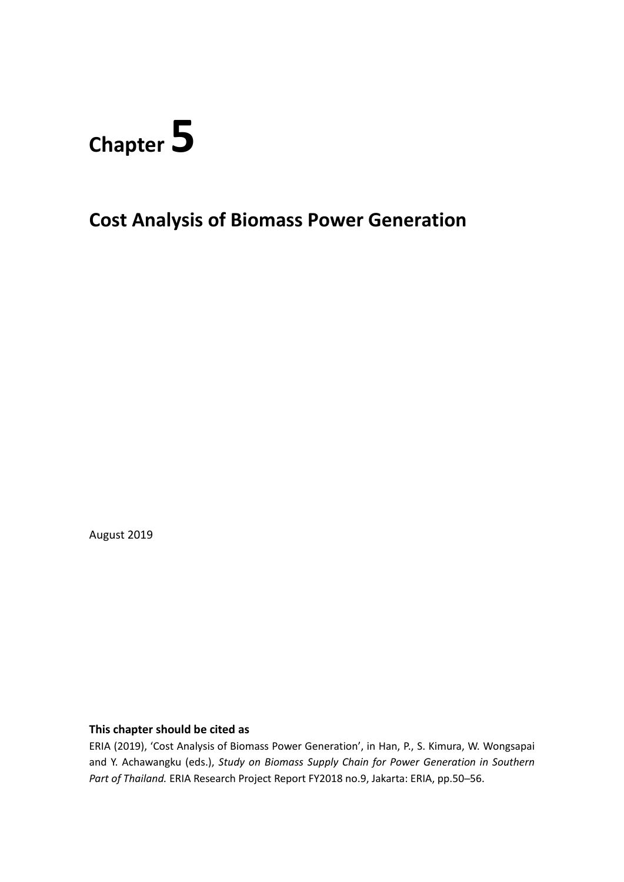# **Chapter 5**

**Cost Analysis of Biomass Power Generation**

August 2019

## **This chapter should be cited as**

ERIA (2019), 'Cost Analysis of Biomass Power Generation', in Han, P., S. Kimura, W. Wongsapai and Y. Achawangku (eds.), *Study on Biomass Supply Chain for Power Generation in Southern Part of Thailand.* ERIA Research Project Report FY2018 no.9, Jakarta: ERIA, pp.50─56.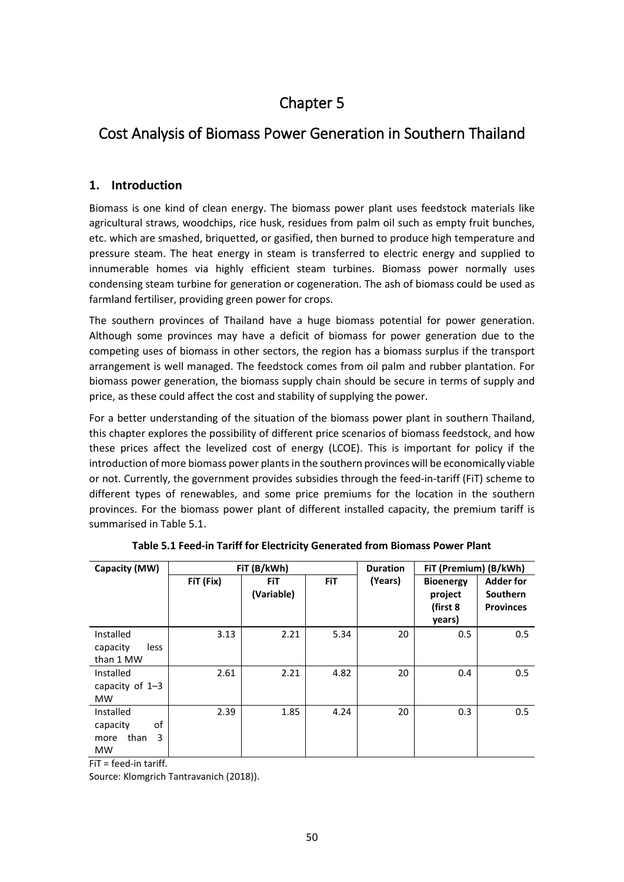# Chapter 5

# Cost Analysis of Biomass Power Generation in Southern Thailand

# **1. Introduction**

Biomass is one kind of clean energy. The biomass power plant uses feedstock materials like agricultural straws, woodchips, rice husk, residues from palm oil such as empty fruit bunches, etc. which are smashed, briquetted, or gasified, then burned to produce high temperature and pressure steam. The heat energy in steam is transferred to electric energy and supplied to innumerable homes via highly efficient steam turbines. Biomass power normally uses condensing steam turbine for generation or cogeneration. The ash of biomass could be used as farmland fertiliser, providing green power for crops.

The southern provinces of Thailand have a huge biomass potential for power generation. Although some provinces may have a deficit of biomass for power generation due to the competing uses of biomass in other sectors, the region has a biomass surplus if the transport arrangement is well managed. The feedstock comes from oil palm and rubber plantation. For biomass power generation, the biomass supply chain should be secure in terms of supply and price, as these could affect the cost and stability of supplying the power.

For a better understanding of the situation of the biomass power plant in southern Thailand, this chapter explores the possibility of different price scenarios of biomass feedstock, and how these prices affect the levelized cost of energy (LCOE). This is important for policy if the introduction of more biomass power plants in the southern provinces will be economically viable or not. Currently, the government provides subsidies through the feed-in-tariff (FiT) scheme to different types of renewables, and some price premiums for the location in the southern provinces. For the biomass power plant of different installed capacity, the premium tariff is summarised in Table 5.1.

| Capacity (MW)                                                 |           | FiT (B/kWh)              |            | <b>Duration</b> | FiT (Premium) (B/kWh)                             |                                                         |
|---------------------------------------------------------------|-----------|--------------------------|------------|-----------------|---------------------------------------------------|---------------------------------------------------------|
|                                                               | FiT (Fix) | <b>FiT</b><br>(Variable) | <b>FiT</b> | (Years)         | <b>Bioenergy</b><br>project<br>(first 8<br>years) | <b>Adder for</b><br><b>Southern</b><br><b>Provinces</b> |
| Installed<br>capacity<br>less<br>than 1 MW                    | 3.13      | 2.21                     | 5.34       | 20              | 0.5                                               | 0.5                                                     |
| Installed<br>capacity of $1-3$<br><b>MW</b>                   | 2.61      | 2.21                     | 4.82       | 20              | 0.4                                               | 0.5                                                     |
| Installed<br>of<br>capacity<br>than<br>3<br>more<br><b>MW</b> | 2.39      | 1.85                     | 4.24       | 20              | 0.3                                               | 0.5                                                     |

FiT = feed-in tariff.

Source: Klomgrich Tantravanich (2018)).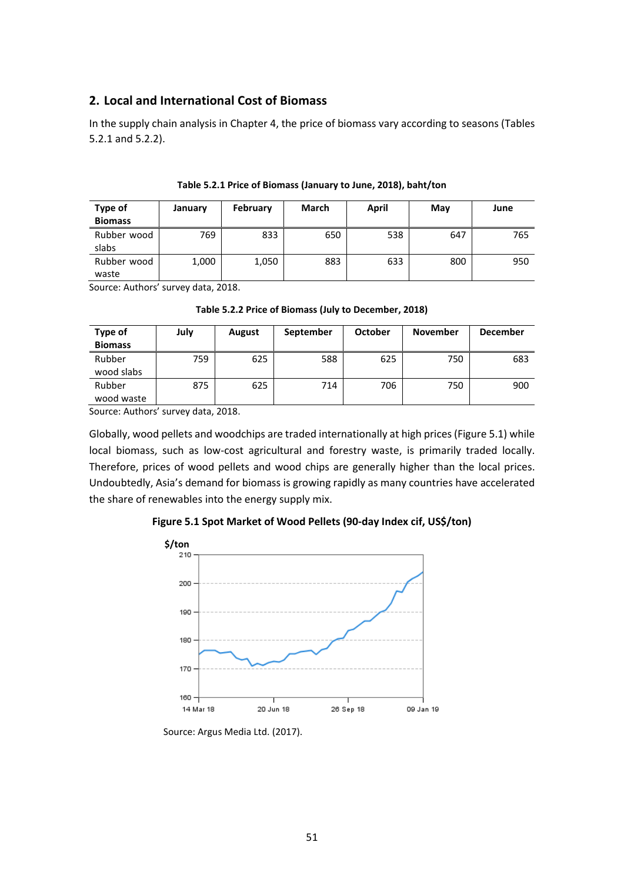## **2. Local and International Cost of Biomass**

In the supply chain analysis in Chapter 4, the price of biomass vary according to seasons (Tables 5.2.1 and 5.2.2).

| <b>Type of</b><br><b>Biomass</b> | January | February | March | April | May | June |
|----------------------------------|---------|----------|-------|-------|-----|------|
| Rubber wood<br>slabs             | 769     | 833      | 650   | 538   | 647 | 765  |
| Rubber wood<br>waste             | 1,000   | 1,050    | 883   | 633   | 800 | 950  |

**Table 5.2.1 Price of Biomass (January to June, 2018), baht/ton**

Source: Authors' survey data, 2018.

**Table 5.2.2 Price of Biomass (July to December, 2018)**

| Type of<br><b>Biomass</b> | July | August | September | <b>October</b> | <b>November</b> | <b>December</b> |
|---------------------------|------|--------|-----------|----------------|-----------------|-----------------|
| Rubber<br>wood slabs      | 759  | 625    | 588       | 625            | 750             | 683             |
| Rubber<br>wood waste      | 875  | 625    | 714       | 706            | 750             | 900             |

Source: Authors' survey data, 2018.

Globally, wood pellets and woodchips are traded internationally at high prices (Figure 5.1) while local biomass, such as low-cost agricultural and forestry waste, is primarily traded locally. Therefore, prices of wood pellets and wood chips are generally higher than the local prices. Undoubtedly, Asia's demand for biomass is growing rapidly as many countries have accelerated the share of renewables into the energy supply mix.

#### **Figure 5.1 Spot Market of Wood Pellets (90-day Index cif, US\$/ton)**



Source: Argus Media Ltd. (2017).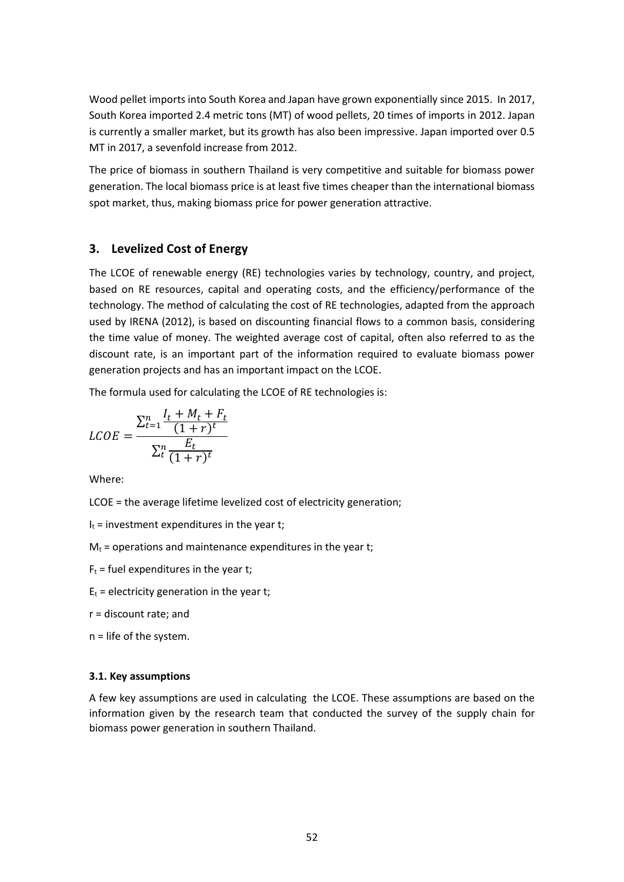Wood pellet imports into South Korea and Japan have grown exponentially since 2015. In 2017, South Korea imported 2.4 metric tons (MT) of wood pellets, 20 times of imports in 2012. Japan is currently a smaller market, but its growth has also been impressive. Japan imported over 0.5 MT in 2017, a sevenfold increase from 2012.

The price of biomass in southern Thailand is very competitive and suitable for biomass power generation. The local biomass price is at least five times cheaper than the international biomass spot market, thus, making biomass price for power generation attractive.

#### **3. Levelized Cost of Energy**

The LCOE of renewable energy (RE) technologies varies by technology, country, and project, based on RE resources, capital and operating costs, and the efficiency/performance of the technology. The method of calculating the cost of RE technologies, adapted from the approach used by IRENA (2012), is based on discounting financial flows to a common basis, considering the time value of money. The weighted average cost of capital, often also referred to as the discount rate, is an important part of the information required to evaluate biomass power generation projects and has an important impact on the LCOE.

The formula used for calculating the LCOE of RE technologies is:

$$
LCOE = \frac{\sum_{t=1}^{n} \frac{I_t + M_t + F_t}{(1+r)^t}}{\sum_{t=1}^{n} \frac{E_t}{(1+r)^t}}
$$

Where:

LCOE = the average lifetime levelized cost of electricity generation;

- $I_t$  = investment expenditures in the year t;
- $M_t$  = operations and maintenance expenditures in the year t;
- $F_t$  = fuel expenditures in the year t;
- $E_t$  = electricity generation in the year t;
- r = discount rate; and
- n = life of the system.

#### **3.1. Key assumptions**

A few key assumptions are used in calculating the LCOE. These assumptions are based on the information given by the research team that conducted the survey of the supply chain for biomass power generation in southern Thailand.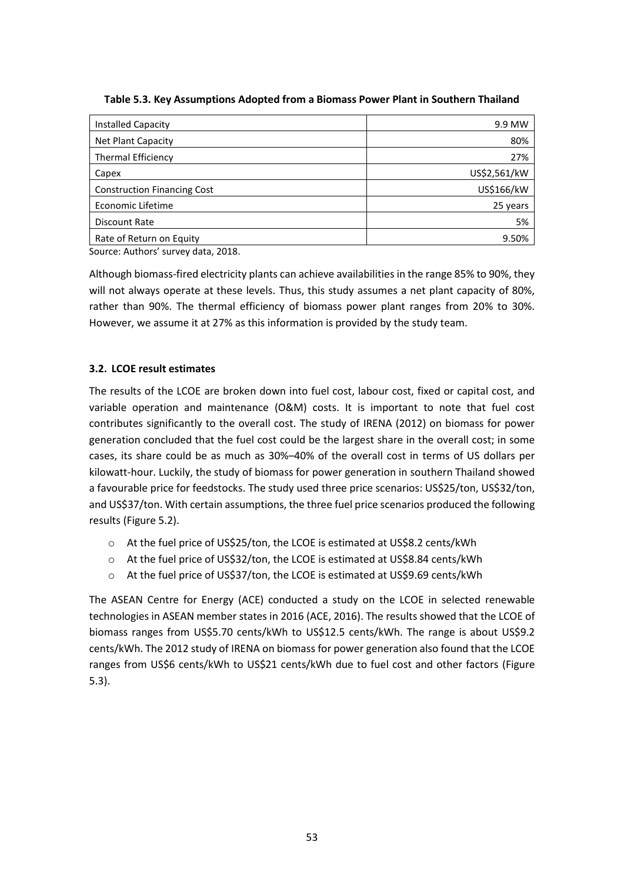| <b>Installed Capacity</b>          | 9.9 MW       |
|------------------------------------|--------------|
| Net Plant Capacity                 | 80%          |
| <b>Thermal Efficiency</b>          | 27%          |
| Capex                              | US\$2,561/kW |
| <b>Construction Financing Cost</b> | US\$166/kW   |
| Economic Lifetime                  | 25 years     |
| Discount Rate                      | 5%           |
| Rate of Return on Equity           | 9.50%        |

Source: Authors' survey data, 2018.

Although biomass-fired electricity plants can achieve availabilities in the range 85% to 90%, they will not always operate at these levels. Thus, this study assumes a net plant capacity of 80%, rather than 90%. The thermal efficiency of biomass power plant ranges from 20% to 30%. However, we assume it at 27% as this information is provided by the study team.

## **3.2. LCOE result estimates**

The results of the LCOE are broken down into fuel cost, labour cost, fixed or capital cost, and variable operation and maintenance (O&M) costs. It is important to note that fuel cost contributes significantly to the overall cost. The study of IRENA (2012) on biomass for power generation concluded that the fuel cost could be the largest share in the overall cost; in some cases, its share could be as much as 30%–40% of the overall cost in terms of US dollars per kilowatt-hour. Luckily, the study of biomass for power generation in southern Thailand showed a favourable price for feedstocks. The study used three price scenarios: US\$25/ton, US\$32/ton, and US\$37/ton. With certain assumptions, the three fuel price scenarios produced the following results (Figure 5.2).

- o At the fuel price of US\$25/ton, the LCOE is estimated at US\$8.2 cents/kWh
- o At the fuel price of US\$32/ton, the LCOE is estimated at US\$8.84 cents/kWh
- o At the fuel price of US\$37/ton, the LCOE is estimated at US\$9.69 cents/kWh

The ASEAN Centre for Energy (ACE) conducted a study on the LCOE in selected renewable technologies in ASEAN member states in 2016 (ACE, 2016). The results showed that the LCOE of biomass ranges from US\$5.70 cents/kWh to US\$12.5 cents/kWh. The range is about US\$9.2 cents/kWh. The 2012 study of IRENA on biomass for power generation also found that the LCOE ranges from US\$6 cents/kWh to US\$21 cents/kWh due to fuel cost and other factors (Figure 5.3).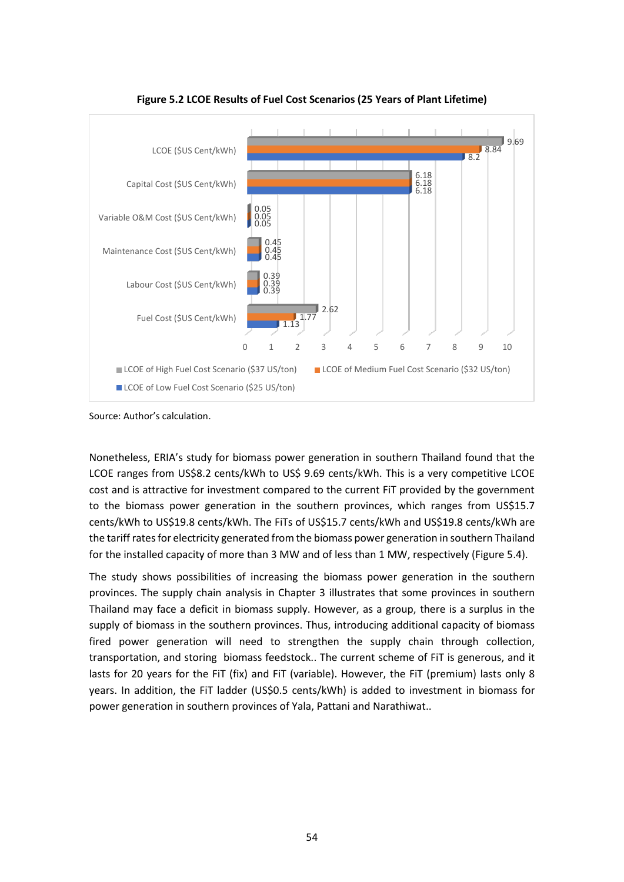

**Figure 5.2 LCOE Results of Fuel Cost Scenarios (25 Years of Plant Lifetime)**

Source: Author's calculation.

Nonetheless, ERIA's study for biomass power generation in southern Thailand found that the LCOE ranges from US\$8.2 cents/kWh to US\$ 9.69 cents/kWh. This is a very competitive LCOE cost and is attractive for investment compared to the current FiT provided by the government to the biomass power generation in the southern provinces, which ranges from US\$15.7 cents/kWh to US\$19.8 cents/kWh. The FiTs of US\$15.7 cents/kWh and US\$19.8 cents/kWh are the tariff rates for electricity generated from the biomass power generation in southern Thailand for the installed capacity of more than 3 MW and of less than 1 MW, respectively (Figure 5.4).

The study shows possibilities of increasing the biomass power generation in the southern provinces. The supply chain analysis in Chapter 3 illustrates that some provinces in southern Thailand may face a deficit in biomass supply. However, as a group, there is a surplus in the supply of biomass in the southern provinces. Thus, introducing additional capacity of biomass fired power generation will need to strengthen the supply chain through collection, transportation, and storing biomass feedstock.. The current scheme of FiT is generous, and it lasts for 20 years for the FIT (fix) and FIT (variable). However, the FIT (premium) lasts only 8 years. In addition, the FiT ladder (US\$0.5 cents/kWh) is added to investment in biomass for power generation in southern provinces of Yala, Pattani and Narathiwat..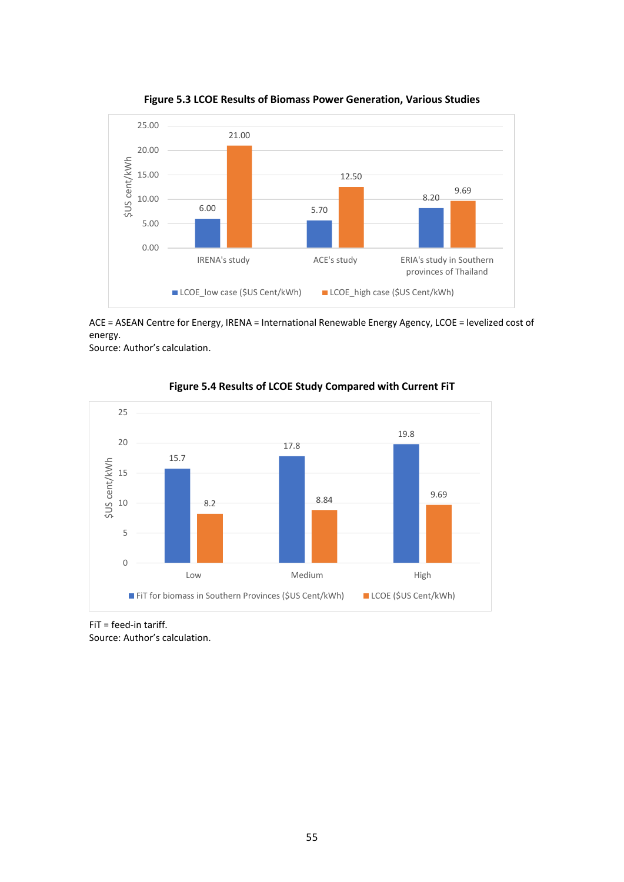

**Figure 5.3 LCOE Results of Biomass Power Generation, Various Studies**

ACE = ASEAN Centre for Energy, IRENA = International Renewable Energy Agency, LCOE = levelized cost of energy.

Source: Author's calculation.



**Figure 5.4 Results of LCOE Study Compared with Current FiT**

FiT = feed-in tariff.

Source: Author's calculation.